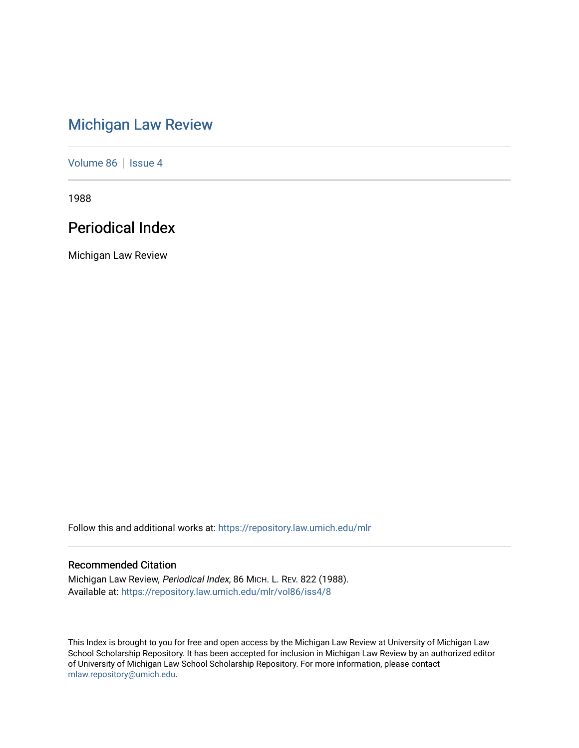# [Michigan Law Review](https://repository.law.umich.edu/mlr)

[Volume 86](https://repository.law.umich.edu/mlr/vol86) | [Issue 4](https://repository.law.umich.edu/mlr/vol86/iss4)

1988

# Periodical Index

Michigan Law Review

Follow this and additional works at: [https://repository.law.umich.edu/mlr](https://repository.law.umich.edu/mlr?utm_source=repository.law.umich.edu%2Fmlr%2Fvol86%2Fiss4%2F8&utm_medium=PDF&utm_campaign=PDFCoverPages) 

# Recommended Citation

Michigan Law Review, Periodical Index, 86 MICH. L. REV. 822 (1988). Available at: [https://repository.law.umich.edu/mlr/vol86/iss4/8](https://repository.law.umich.edu/mlr/vol86/iss4/8?utm_source=repository.law.umich.edu%2Fmlr%2Fvol86%2Fiss4%2F8&utm_medium=PDF&utm_campaign=PDFCoverPages)

This Index is brought to you for free and open access by the Michigan Law Review at University of Michigan Law School Scholarship Repository. It has been accepted for inclusion in Michigan Law Review by an authorized editor of University of Michigan Law School Scholarship Repository. For more information, please contact [mlaw.repository@umich.edu.](mailto:mlaw.repository@umich.edu)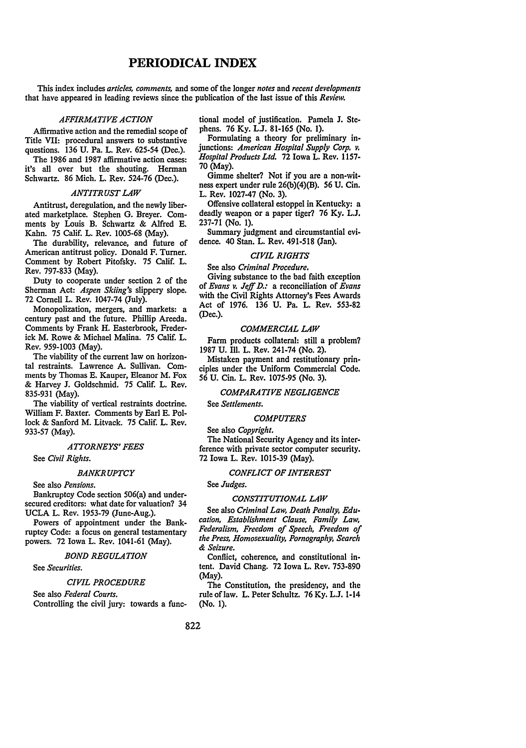# **PERIODICAL INDEX**

This index includes *articles, comments,* and some of the longer *notes* and *recent developments*  that have appeared in leading reviews since the publication of the last issue of this *Review.* 

# *AFFIRMATIVE ACTION*

Affirmative action and the remedial scope of Title VII: procedural answers to substantive questions. 136 U. Pa. L. Rev. 625-54 (Dec.).

The 1986 and 1987 affirmative action cases: it's all over but the shouting. Herman Schwartz. 86 Mich. L. Rev. 524-76 (Dec.).

# *ANTITRUST LAW*

Antitrust, deregulation, and the newly liberated marketplace. Stephen G. Breyer. Comments by Louis B. Schwartz & Alfred E. Kahn. 75 Calif. L. Rev. 1005-68 (May).

The durability, relevance, and future of American antitrust policy. Donald F. Turner. Comment by Robert Pitofsky. 75 Calif. L. Rev. 797-833 (May).

Duty to cooperate under section 2 of the Sherman Act: *Aspen Skiing's* slippery slope. 72 Cornell L. Rev. 1047-74 (July).

Monopolization, mergers, and markets: a century past and the future. Phillip Areeda. Comments by Frank H. Easterbrook, Frederick M. Rowe & Michael Malina. 75 Calif. L. Rev. 959-1003 (May).

The viability of the current law on horizontal restraints. Lawrence A. Sullivan. Comments by Thomas E. Kauper, Eleanor M. Fox & Harvey J. Goldschmid. 75 Calif. L. Rev. 835-931 (May).

The viability of vertical restraints doctrine. William F. Baxter. Comments by Earl E. Pollock & Sanford M. Litvack. 75 Calif. L. Rev. 933-57 (May).

# *ATTORNEYS' FEES*

See *Civil Rights.* 

#### *BANKRUPTCY*

See also *Pensions.* 

Bankruptcy Code section 506(a) and undersecured creditors: what date for valuation? 34 UCLA L. Rev. 1953-79 (June-Aug.).

Powers of appointment under the Bankruptcy Code: a focus on general testamentary powers. 72 Iowa L. Rev. 1041-61 (May).

# *BOND REGULATION*

See *Securities.* 

# *CIVIL PROCEDURE*

See also *Federal Courts.*  Controlling the civil jury: towards a functional model of justification. Pamela J. Stephens. 76 Ky. L.J. 81-165 (No. 1).

Formulating a theory for preliminary injunctions: *American Hospital Supply Corp. v. Hospital Products Ltd.* 72 Iowa L. Rev. 1157- 70 (May).

Gimme shelter? Not if you are a non-witness expert under rule 26(b)(4)(B). 56 U. Cin. L. Rev. 1027-47 (No. 3).

Offensive collateral estoppel in Kentucky: a deadly weapon or a paper tiger? 76 Ky. L.J. 237-71 (No. 1).

Summary judgment and circumstantial evidence. 40 Stan. L. Rev. 491-518 (Jan).

# *CIVIL RIGHTS*

See also *Criminal Procedure.* 

Giving substance to the bad faith exception of *Evans v. Jeff D.:* a reconciliation of *Evans*  with the Civil Rights Attorney's Fees Awards Act of 1976. 136 U. Pa. L. Rev. 553-82 (Dec.).

#### *COMMERCIAL LAW*

Farm products collateral: still a problem? 1987 U. Ill. L. Rev. 241-74 (No. 2).

Mistaken payment and restitutionary principles under the Uniform Commercial Code. 56 U. Cin. L. Rev. 1075-95 (No. 3).

# *COMPARATIVE NEGLIGENCE*

See *Settlements.* 

# *COMPUTERS*

See also *Copyright.* 

The National Security Agency and its interference with private sector computer security. 72 Iowa L. Rev. 1015-39 (May).

# *CONFLICT OF INTEREST*

See *Judges.* 

#### *CONSTITUTIONAL LAW*

See also *Criminal Law, Death Penalty, Education, Establishment Clause, Family Law, Federalism, Freedom of Speech, Freedom of the Press, Homosexuality, Pornography, Search*  & *Seizure.* 

Conflict, coherence, and constitutional intent. David Chang. 72 Iowa L. Rev. 753-890 (May).

The Constitution, the presidency, and the rule of law. L. Peter Schultz. 76 Ky. L.J. 1-14 (No. 1).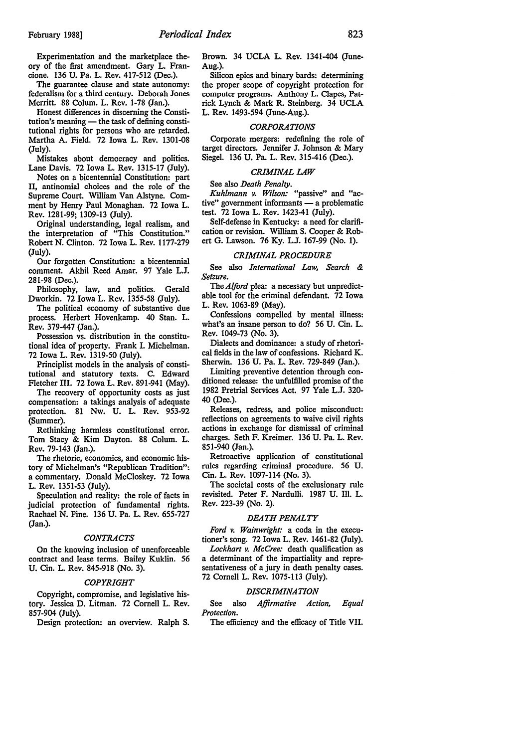Experimentation and the marketplace theory of the first amendment. Gary L. Francione. 136 U. Pa. L. Rev. 417-512 (Dec.).

The guarantee clause and state autonomy: federalism for a third century. Deborah Jones Merritt. 88 Colum. L. Rev. 1-78 (Jan.).

Honest differences in discerning the Constitution's meaning - the task of defining constitutional rights for persons who are retarded. Martha A. Field. 72 Iowa L. Rev. 1301-08 (July).

Mistakes about democracy and politics. Lane Davis. 72 Iowa L. Rev. 1315-17 (July).

Notes on a bicentennial Constitution: part II, antinomial choices and the role of the Supreme Court. William Van Alstyne. Comment by Henry Paul Monaghan. 72 Iowa L. Rev. 1281-99; 1309-13 (July).

Original understanding, legal realism, and the interpretation of "This Constitution." Robert N. Clinton. 72 Iowa L. Rev. 1177-279 (July).

Our forgotten Constitution: a bicentennial comment. Akhil Reed Amar. 97 Yale L.J. 281-98 (Dec.).

Philosophy, law, and politics. Gerald Dworkin. 72 Iowa L. Rev. 1355-58 (July).

The political economy of substantive due process. Herbert Hovenkamp. 40 Stan. L. Rev. 379-447 (Jan.).

Possession vs. distribution in the constitutional idea of property. Frank I. Michelman. 72 Iowa L. Rev. 1319-50 (July).

Principlist models in the analysis of constitutional and statutory texts. C. Edward Fletcher III. 72 Iowa L. Rev. 891-941 (May).

The recovery of opportunity costs as just compensation: a takings analysis of adequate protection. 81 Nw. U. L. Rev. 953-92 (Summer).

Rethinking harmless constitutional error. Tom Stacy & Kim Dayton. 88 Colum. L. Rev. 79-143 (Jan.).

The rhetoric, economics, and economic history of Michelman's "Republican Tradition": a commentary. Donald McCloskey. 72 Iowa L. Rev. 1351-53 (July).

Speculation and reality: the role of facts in judicial protection of fundamental rights. Rachael N. Pine. 136 U. Pa. L. Rev. 655-727 (Jan.).

## *CONTRACTS*

On the knowing inclusion of unenforceable contract and lease terms. Bailey Kuklin. 56 U. Cin. L. Rev. 845-918 (No. 3).

#### *COPYRIGHT*

Copyright, compromise, and legislative history. Jessica D. Litman. 72 Cornell L. Rev. 857-904 (July).

Design protection: an overview. Ralph S.

Brown. 34 UCLA L. Rev. 1341-404 (June-Aug.).

Silicon epics and binary bards: determining the proper scope of copyright protection for computer programs. Anthony L. Clapes, Patrick Lynch & Mark R. Steinberg. 34 UCLA L. Rev. 1493-594 (June-Aug.).

#### *CORPORATIONS*

Corporate mergers: redefining the role of target directors. Jennifer J. Johnson & Mary Siegel. 136 U. Pa. L. Rev. 315-416 (Dec.).

#### *CRIMINAL LAW*

See also *Death Penalty.* 

*Kuhlmann v. Wilson:* "passive" and "ac $tive$ " government informants  $-$  a problematic test. 72 Iowa L. Rev. 1423-41 (July).

Self-defense in Kentucky: a need for clarification or revision. William S. Cooper & Robert G. Lawson. 76 Ky. L.J. 167-99 (No. 1).

# *CRIMINAL PROCEDURE*

See also *International Law, Search* & *Seizure.* 

The *Alford* plea: a necessary but unpredictable tool for the criminal defendant. 72 Iowa L. Rev. 1063-89 (May).

Confessions compelled by mental illness: what's an insane person to do? 56 U. Cin. L. Rev. 1049-73 (No. 3).

Dialects and dominance: a study of rhetorical fields in the law of confessions. Richard K. Sherwin. 136 U. Pa. L. Rev. 729-849 (Jan.).

Limiting preventive detention through conditioned release: the unfulfilled promise of the 1982 Pretrial Services Act. 97 Yale L.J. 320- 40 (Dec.).

Releases, redress, and police misconduct: reflections on agreements to waive civil rights actions in exchange for dismissal of criminal charges. Seth F. Kreimer. 136 U. Pa. L. Rev. 851-940 (Jan.).

Retroactive application of constitutional rules regarding criminal procedure. 56 U. Cin. L. Rev. 1097-114 (No. 3).

The societal costs of the exclusionary rule revisited. Peter F. Nardu!li. 1987 U. Ill. L. Rev. 223-39 (No. 2).

# *DEATH PENALTY*

*Ford v. Wainwright:* a coda in the executioner's song. 72 Iowa L. Rev. 1461-82 (July).

*Lockhart v. McCree:* death qualification as a determinant of the impartiality and representativeness of a jury in death penalty cases. 72 Cornell L. Rev. 1075-113 (July).

#### *DISCRIMINATION*

See also *Affirmative Action, Equal Protection.* 

The efficiency and the efficacy of Title VII.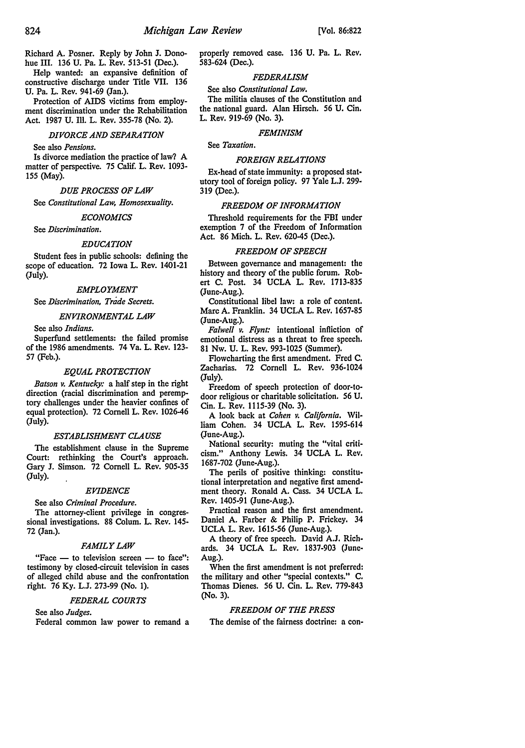Richard A. Posner. Reply by John J. Donohue III. 136 U. Pa. L. Rev. 513-51 (Dec.).

Help wanted: an expansive definition of constructive discharge under Title VII. 136 U. Pa. L. Rev. 941-69 (Jan.).

Protection of AIDS victims from employment discrimination under the Rehabilitation Act. 1987 U. Ill. L. Rev. 355-78 (No. 2).

#### *DIVORCE AND SEPARATION*

See also *Pensions.* 

Is divorce mediation the practice of law? A matter of perspective. 75 Calif. L. Rev. 1093- 155 (May).

# *DUE PROCESS OF LAW*

See *Constitutional Law, Homosexuality.* 

# *ECONOMICS*

See *Discrimination.* 

#### *EDUCATION*

Student fees in public schools: defining the scope of education. 72 Iowa L. Rev. 1401-21 (July).

### *EMPLOYMENT*

See *Discrimination, Trade Secrets.* 

#### *ENVIRONMENTAL LAW*

See also *Indians.* 

Superfund settlements: the failed promise of the 1986 amendments. 74 Va. L. Rev. 123- 57 (Feb.).

#### *EQUAL PROTECTION*

*Batson v. Kentucky:* a half step in the right direction (racial discrimination and peremptory challenges under the heavier confines of equal protection). 72 Cornell L. Rev. 1026-46 (July).

#### *ESTABLISHMENT CLAUSE*

The establishment clause in the Supreme Court: rethinking the Court's approach. Gary J. Simson. 72 Cornell L. Rev. 905-35 (July).

#### *EVIDENCE*

See also *Criminal Procedure.* 

The attorney-client privilege in congressional investigations. 88 Colum. L. Rev. 145- 72 (Jan.).

#### *FAMILY LAW*

"Face  $-$  to television screen  $-$  to face": testimony by closed-circuit television in cases of alleged child abuse and the confrontation right. 76 Ky. L.J. 273-99 (No. 1).

#### *FEDERAL COURTS*

See also *Judges.*  Federal common law power to remand a properly removed case. 136 U. Pa. L. Rev. 583-624 (Dec.).

# *FEDERALISM*

#### See also *Constitutional Law.*

The militia clauses of the Constitution and the national guard. Alan Hirsch. 56 U. Cin. L. Rev. 919-69 (No. 3).

# *FEMINISM*

See *Taxation.* 

#### *FOREIGN RELATIONS*

Ex-head of state immunity: a proposed statutory tool of foreign policy. 97 Yale L.J. 299- 319 (Dec.).

# *FREEDOM OF INFORMATION*

Threshold requirements for the FBI under exemption 7 of the Freedom of Information Act. 86 Mich. L. Rev. 620-45 (Dec.).

# *FREEDOM OF SPEECH*

Between governance and management: the history and theory of the public forum. Robert C. Post. 34 UCLA L. Rev. 1713-835 (June-Aug.).

Constitutional libel law: a role of content. Marc A. Franklin. 34 UCLA L. Rev. 1657-85 (June-Aug.).

*Falwell v. Flynt:* intentional infliction of emotional distress as a threat to free speech. 81 Nw. U. L. Rev. 993-1025 (Summer).

Flowcharting the first amendment. Fred C. Zacharias. 72 Cornell L. Rev. 936-1024 (July).

Freedom of speech protection of door-todoor religious or charitable solicitation. 56 U. Cin. L. Rev. 1115-39 (No. 3).

A look back at *Cohen v. California.* William Cohen. 34 UCLA L. Rev. 1595-614 (June-Aug.).

National security: muting the "vital criticism." Anthony Lewis. 34 UCLA L. Rev. 1687-702 (June-Aug.).

The perils of positive thinking: constitutional interpretation and negative first amendment theory. Ronald A. Cass. 34 UCLA L. Rev. 1405-91 (June-Aug.).

Practical reason and the first amendment. Daniel A. Farber & Philip P. Frickey. 34 UCLA L. Rev. 1615-56 (June-Aug.).

A theory of free speech. David A.J. Richards. 34 UCLA L. Rev. 1837-903 (June-Aug.).

When the first amendment is not preferred: the military and other "special contexts." C. Thomas Dienes. 56 U. Cin. L. Rev. 779-843 (No. 3).

# *FREEDOM OF THE PRESS*

The demise of the fairness doctrine: a con-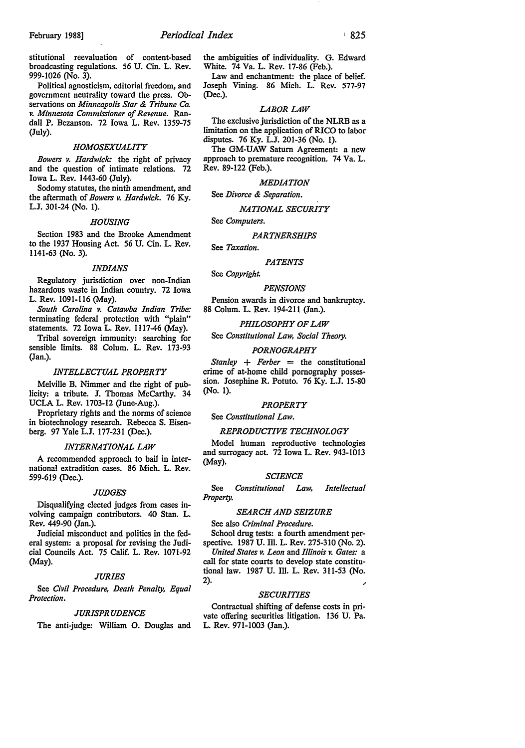stitutional reevaluation of content-based broadcasting regulations. 56 U. Cin. L. Rev. 999-1026 (No. 3).

Political agnosticism, editorial freedom, and government neutrality toward the press. Observations on *Minneapolis Star* & *Tribune Co. v. Minnesota Commissioner of Revenue.* Randall P. Bezanson. 72 Iowa L. Rev. 1359-75 (July).

# *HOMOSEXUALITY*

*Bowers v. Hardwick:* the right of privacy and the question of intimate relations. 72 Iowa L. Rev. 1443-60 (July).

Sodomy statutes, the ninth amendment, and the aftermath of *Bowers v. Hardwick.* 76 Ky. L.J. 301-24 (No. 1).

#### *HOUSING*

Section 1983 and the Brooke Amendment to the 1937 Housing Act. 56 U. Cin. L. Rev. 1141-63 (No. 3).

#### *INDIANS*

Regulatory jurisdiction over non-Indian hazardous waste in Indian country. 72 Iowa L. Rev. 1091-116 (May).

*South Carolina v. Catawba Indian Tribe:*  terminating federal protection with "plain" statements. 72 Iowa L. Rev. 1117-46 (May).

Tribal sovereign immunity: searching for sensible limits. 88 Colum. L. Rev. 173-93 (Jan.).

#### *INTELLECTUAL PROPERTY*

Melville B. Nimmer and the right of publicity: a tribute. J. Thomas McCarthy. 34 UCLA L. Rev. 1703-12 (June-Aug.).

Proprietary rights and the norms of science in biotechnology research. Rebecca S. Eisenberg. 97 Yale L.J. 177-231 (Dec.).

#### *INTERNATIONAL LAW*

A recommended approach to bail in international extradition cases. 86 Mich. L. Rev. 599-619 (Dec.).

#### *JUDGES*

Disqualifying elected judges from cases involving campaign contributors. 40 Stan. L. Rev. 449-90 (Jan.).

Judicial misconduct and politics in the federal system: a proposal for revising the Judicial Councils Act. 75 Calif. L. Rev. 1071-92 (May).

#### *JURIES*

See *Civil Procedure, Death Penalty, Equal Protection.* 

#### *JURISPRUDENCE*

The anti-judge: William 0. Douglas and

the ambiguities of individuality. G. Edward White. 74 Va. L. Rev. 17-86 (Feb.).

Law and enchantment: the place of belief. Joseph Vining. 86 Mich. L. Rev. 577-97 (Dec.).

#### *LABOR LAW*

The exclusive jurisdiction of the NLRB as a limitation on the application of RICO to labor disputes. 76 Ky. L.J. 201-36 (No. 1).

The GM-UAW Saturn Agreement: a new approach to premature recognition. 74 Va. L. Rev. 89-122 (Feb.).

## *MEDIATION*

See *Divorce* & *Separation.* 

#### *NATIONAL SECURITY*

See *Computers.* 

#### *PARTNERSHIPS*

See *Taxation.* 

# *PATENTS*

See *Copyright.* 

## *PENSIONS*

Pension awards in divorce and bankruptcy. 88 Colum. L. Rev. 194-211 (Jan.).

#### *PHILOSOPHY OF LAW*

See *Constitutional Law, Social Theory.* 

# *PORNOGRAPHY*

 $Stanlev + Ferber = the$  *constitutional* crime of at-home child pornography possession. Josephine R. Potuto. 76 Ky. L.J. 15-80 (No. 1).

#### *PROPERTY*

See *Constitutional Law.* 

#### *REPRODUCTIVE TECHNOLOGY*

Model human reproductive technologies and surrogacy act. 72 Iowa L. Rev. 943-1013 (May).

#### *SCIENCE*

See *Constitutional Law, Intellectual Property.* 

#### *SEARCH AND SEIZURE*

See also *Criminal Procedure.*  School drug tests: a fourth amendment per-

spective. 1987 U. Ill. L. Rev. 275-310 (No. 2).

*United States v. Leon* and *Illinois v. Gates:* a call for state courts to develop state constitutional law. 1987 U. Ill. L. Rev. 311-53 (No. 2).

#### *SECURITIES*

Contractual shifting of defense costs in private offering securities litigation. 136 U. Pa. L. Rev. 971-1003 (Jan.).